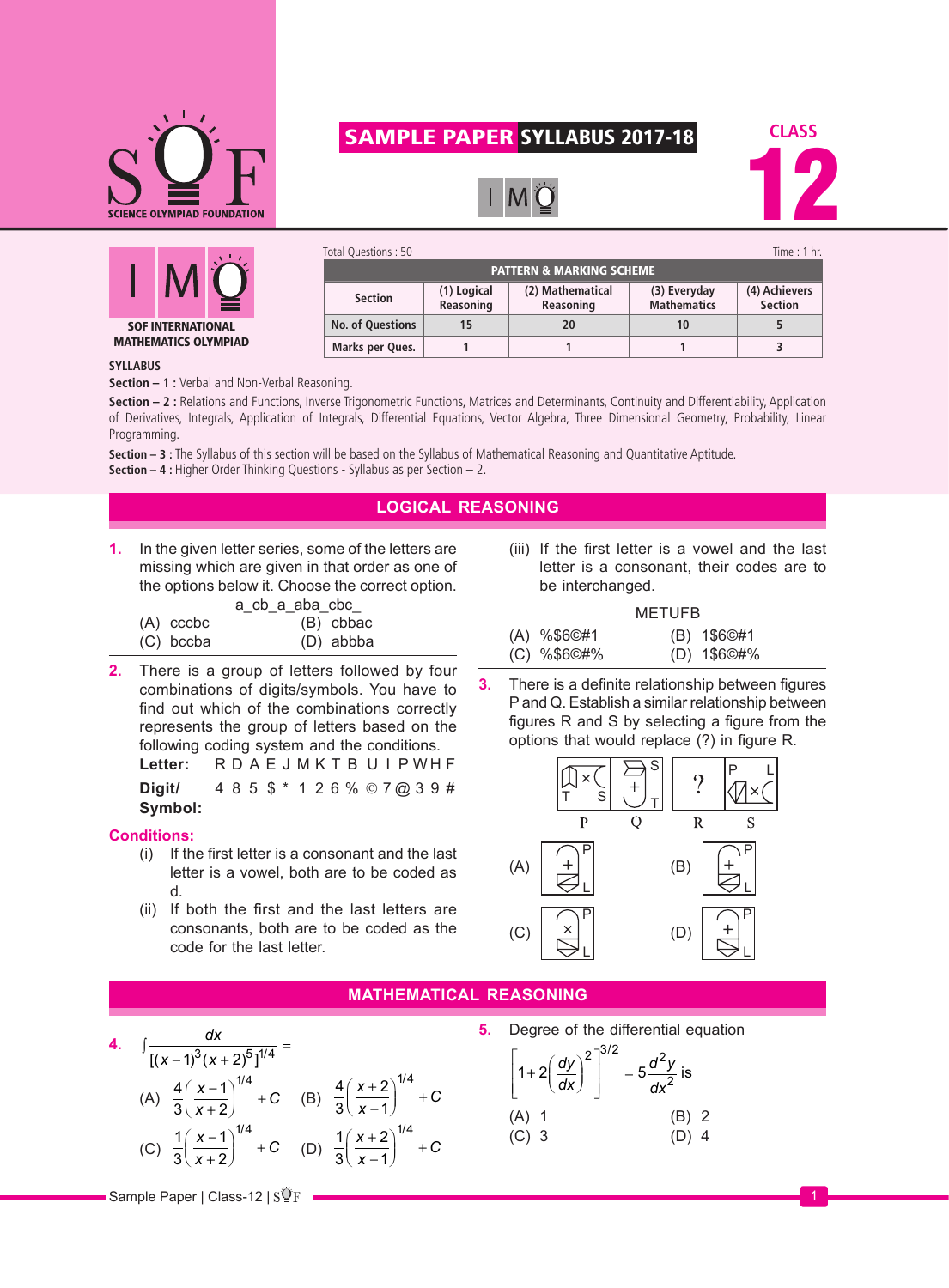

# SAMPLE PAPER SYLLABUS 2017-18





| Total Questions: 50                 |                          |                               |                                    | Time : $1$ hr.                  |  |  |
|-------------------------------------|--------------------------|-------------------------------|------------------------------------|---------------------------------|--|--|
| <b>PATTERN &amp; MARKING SCHEME</b> |                          |                               |                                    |                                 |  |  |
| <b>Section</b>                      | (1) Logical<br>Reasoning | (2) Mathematical<br>Reasoning | (3) Everyday<br><b>Mathematics</b> | (4) Achievers<br><b>Section</b> |  |  |
| <b>No. of Questions</b>             | 15                       | 20                            | 10                                 |                                 |  |  |
| Marks per Ques.                     |                          |                               |                                    | 3                               |  |  |

### **SYLLABUS**

**Section – 1 :** Verbal and Non-Verbal Reasoning.

Section – 2 : Relations and Functions, Inverse Trigonometric Functions, Matrices and Determinants, Continuity and Differentiability, Application of Derivatives, Integrals, Application of Integrals, Differential Equations, Vector Algebra, Three Dimensional Geometry, Probability, Linear Programming.

**Section – 3 :** The Syllabus of this section will be based on the Syllabus of Mathematical Reasoning and Quantitative Aptitude. **Section – 4 :** Higher Order Thinking Questions - Syllabus as per Section – 2.

# **LOGICAL REASONING**

**1.** In the given letter series, some of the letters are missing which are given in that order as one of the options below it. Choose the correct option.

|             | a_cb_a_aba_cbc <sub>_</sub> |
|-------------|-----------------------------|
| $(A)$ cccbc | (B) cbbac                   |
| (C) bccba   | (D) abbba                   |

**2.** There is a group of letters followed by four combinations of digits/symbols. You have to find out which of the combinations correctly represents the group of letters based on the following coding system and the conditions. Letter: R D A E J M K T B U I P WH F

**Digit/**  $485$   $\frac{1}{3}$   $\frac{1}{26}$  %  $\odot$  7 @ 3 9 # **Symbol:**

## **Conditions:**

- (i) If the first letter is a consonant and the last letter is a vowel, both are to be coded as d.
- (ii) If both the first and the last letters are consonants, both are to be coded as the code for the last letter.

(iii) If the first letter is a vowel and the last letter is a consonant, their codes are to be interchanged.

| <b>METUFB</b>                |  |                              |
|------------------------------|--|------------------------------|
| (A) %\$6©#1<br>$(C)$ %\$6©#% |  | (B) 1\$6©#1<br>$(D)$ 1\$6©#% |

**3.** There is a definite relationship between figures P and Q. Establish a similar relationship between figures R and S by selecting a figure from the options that would replace (?) in figure R.



## **MATHEMATICAL REASONING**

- **4.**  $\int \frac{dx}{x^2+x^2}$  $\int \frac{dx}{[(x-1)^3(x+2)^5]^{1/4}}$  =
	- (A)  $\frac{4}{3}$ 1 2  $x - 1$ <sup>1/4</sup>  $\left(\frac{x-1}{x+2}\right)^{n+1}$  + C ſ  $\left(\frac{x-1}{x+2}\right)^{n-r}$ / (B)  $\frac{4}{2}$ 3 2 1  $(x+2)^{1/4}$  $\left(\frac{x+2}{x-1}\right)^{1/4}$  + C ſ  $\left(\frac{x+2}{x-1}\right)^{n}$  + /
	- (C)  $\frac{1}{2}$ 3 1 2  $x - 1$ <sup>1/4</sup>  $\left(\frac{x-1}{x+2}\right)^{n+1}$  + C ſ  $\left(\frac{x-1}{x+2}\right)^{n-r}$ / (D)  $\frac{1}{2}$ 3 2 1  $(x+2)^{1/4}$  $\left(\frac{x+2}{x-1}\right)^{1/4}$  + C ſ  $\left(\frac{x+2}{x-1}\right)^{n}$  + /

**5.** Degree of the differential equation  $1+2\left|\frac{97}{1}\right| = 5$ 2<sup>3/2</sup> <sup>2</sup>  $+2\left(\frac{dy}{dx}\right)^2 = 5\frac{d^2y}{dx^2}$ L L | L  $\overline{\phantom{a}}$  $\overline{\phantom{a}}$  $\left| \frac{dy}{dx} \right|^{2}$  = *d y dx* / is (A) 1 (B) 2 (C) 3 (D) 4

 $\overline{\rm s}$  Sample Paper | Class-12 |  $\overline{\rm s}\overline{\rm P}$  |